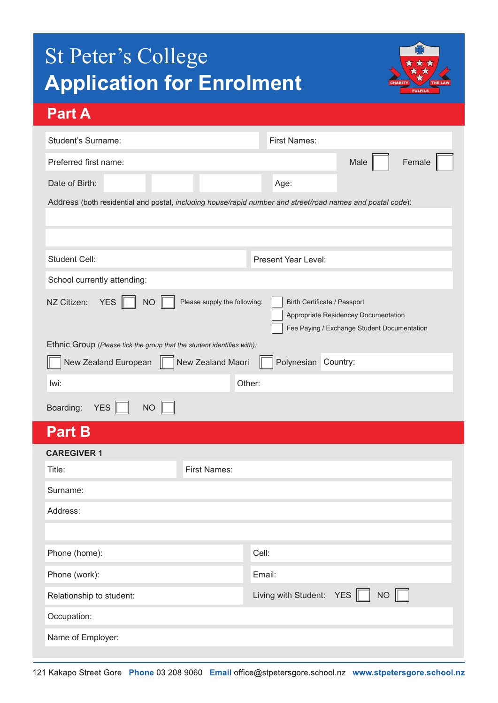# St Peter's College **Application for Enrolment**



## **Part A**

| Student's Surname:                                                                                                                                                                            |                     | <b>First Names:</b>                       |  |  |
|-----------------------------------------------------------------------------------------------------------------------------------------------------------------------------------------------|---------------------|-------------------------------------------|--|--|
| Female<br>Male<br>Preferred first name:                                                                                                                                                       |                     |                                           |  |  |
| Date of Birth:                                                                                                                                                                                |                     | Age:                                      |  |  |
| Address (both residential and postal, including house/rapid number and street/road names and postal code):                                                                                    |                     |                                           |  |  |
|                                                                                                                                                                                               |                     |                                           |  |  |
|                                                                                                                                                                                               |                     |                                           |  |  |
| <b>Student Cell:</b>                                                                                                                                                                          |                     | Present Year Level:                       |  |  |
| School currently attending:                                                                                                                                                                   |                     |                                           |  |  |
| Please supply the following:<br>NZ Citizen:<br><b>YES</b><br><b>NO</b><br>Birth Certificate / Passport<br>Appropriate Residencey Documentation<br>Fee Paying / Exchange Student Documentation |                     |                                           |  |  |
| Ethnic Group (Please tick the group that the student identifies with):                                                                                                                        |                     |                                           |  |  |
| New Zealand Maori<br>Polynesian Country:<br>New Zealand European                                                                                                                              |                     |                                           |  |  |
| lwi:                                                                                                                                                                                          | Other:              |                                           |  |  |
| YES<br>Boarding:<br><b>NO</b>                                                                                                                                                                 |                     |                                           |  |  |
| <b>Part B</b>                                                                                                                                                                                 |                     |                                           |  |  |
| <b>CAREGIVER 1</b>                                                                                                                                                                            |                     |                                           |  |  |
| Title:                                                                                                                                                                                        | <b>First Names:</b> |                                           |  |  |
| Surname:                                                                                                                                                                                      |                     |                                           |  |  |
| Address:                                                                                                                                                                                      |                     |                                           |  |  |
|                                                                                                                                                                                               |                     |                                           |  |  |
| Phone (home):                                                                                                                                                                                 |                     | Cell:                                     |  |  |
| Phone (work):                                                                                                                                                                                 |                     | Email:                                    |  |  |
| Relationship to student:                                                                                                                                                                      |                     | $NO$ $\Box$<br>Living with Student: $YES$ |  |  |
| Occupation:                                                                                                                                                                                   |                     |                                           |  |  |
| Name of Employer:                                                                                                                                                                             |                     |                                           |  |  |
|                                                                                                                                                                                               |                     |                                           |  |  |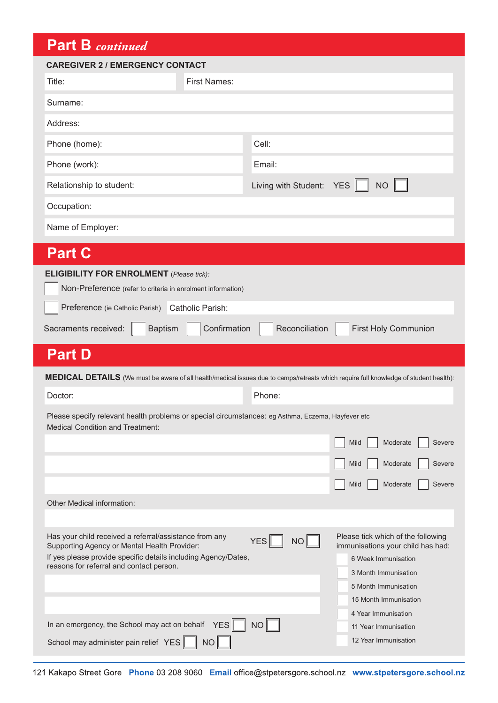## **Part B** *continued*

| <b>Part B</b> continued                                                                                                                                                                                                                                                       |                                                                                                                                                                                                                      |  |  |  |  |
|-------------------------------------------------------------------------------------------------------------------------------------------------------------------------------------------------------------------------------------------------------------------------------|----------------------------------------------------------------------------------------------------------------------------------------------------------------------------------------------------------------------|--|--|--|--|
| <b>CAREGIVER 2 / EMERGENCY CONTACT</b>                                                                                                                                                                                                                                        |                                                                                                                                                                                                                      |  |  |  |  |
| Title:                                                                                                                                                                                                                                                                        | <b>First Names:</b>                                                                                                                                                                                                  |  |  |  |  |
| Surname:                                                                                                                                                                                                                                                                      |                                                                                                                                                                                                                      |  |  |  |  |
| Address:                                                                                                                                                                                                                                                                      |                                                                                                                                                                                                                      |  |  |  |  |
| Phone (home):                                                                                                                                                                                                                                                                 | Cell:                                                                                                                                                                                                                |  |  |  |  |
| Phone (work):                                                                                                                                                                                                                                                                 | Email:                                                                                                                                                                                                               |  |  |  |  |
| Relationship to student:                                                                                                                                                                                                                                                      | Living with Student:<br><b>YES</b><br><b>NO</b>                                                                                                                                                                      |  |  |  |  |
| Occupation:                                                                                                                                                                                                                                                                   |                                                                                                                                                                                                                      |  |  |  |  |
| Name of Employer:                                                                                                                                                                                                                                                             |                                                                                                                                                                                                                      |  |  |  |  |
| <b>Part C</b>                                                                                                                                                                                                                                                                 |                                                                                                                                                                                                                      |  |  |  |  |
| <b>ELIGIBILITY FOR ENROLMENT</b> (Please tick):<br>Non-Preference (refer to criteria in enrolment information)<br>Preference (ie Catholic Parish) Catholic Parish:<br>Confirmation<br><b>Baptism</b><br>Reconciliation<br><b>First Holy Communion</b><br>Sacraments received: |                                                                                                                                                                                                                      |  |  |  |  |
| <b>Part D</b>                                                                                                                                                                                                                                                                 |                                                                                                                                                                                                                      |  |  |  |  |
| MEDICAL DETAILS (We must be aware of all health/medical issues due to camps/retreats which require full knowledge of student health):                                                                                                                                         |                                                                                                                                                                                                                      |  |  |  |  |
| Doctor:                                                                                                                                                                                                                                                                       | Phone:                                                                                                                                                                                                               |  |  |  |  |
| <b>Medical Condition and Treatment:</b>                                                                                                                                                                                                                                       | Please specify relevant health problems or special circumstances: eg Asthma, Eczema, Hayfever etc                                                                                                                    |  |  |  |  |
|                                                                                                                                                                                                                                                                               |                                                                                                                                                                                                                      |  |  |  |  |
| Other Medical information:                                                                                                                                                                                                                                                    | Mild<br>Severe<br>Moderate<br>Severe<br>Mild<br>Moderate<br>Mild<br>Moderate<br>Severe                                                                                                                               |  |  |  |  |
|                                                                                                                                                                                                                                                                               |                                                                                                                                                                                                                      |  |  |  |  |
| Has your child received a referral/assistance from any<br>Supporting Agency or Mental Health Provider:<br>If yes please provide specific details including Agency/Dates,<br>reasons for referral and contact person.                                                          | Please tick which of the following<br>YES<br>$NO$ $\Box$<br>immunisations your child has had:<br>6 Week Immunisation<br>3 Month Immunisation<br>5 Month Immunisation<br>15 Month Immunisation<br>4 Year Immunisation |  |  |  |  |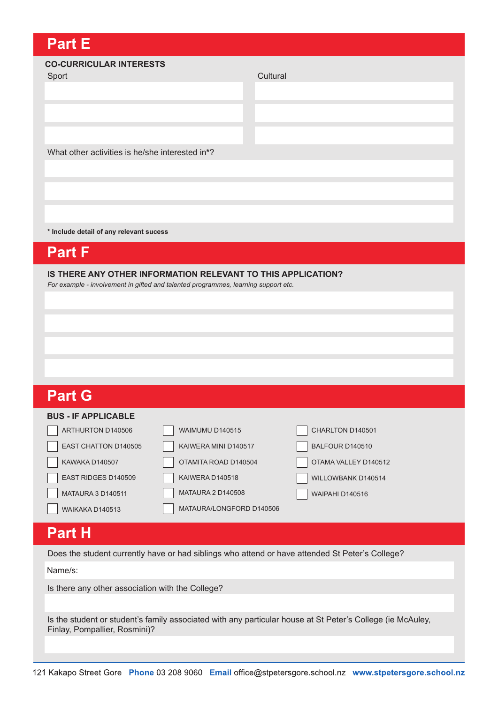## **Part E**

#### **CO-CURRICULAR INTERESTS**

Sport **Cultural** 

What other activities is he/she interested in**\***?

**\* Include detail of any relevant sucess**

## **Part F**

**IS THERE ANY OTHER INFORMATION RELEVANT TO THIS APPLICATION?** 

*For example - involvement in gifted and talented programmes, learning support etc.*

| <b>Part G</b>              |                          |                      |
|----------------------------|--------------------------|----------------------|
| <b>BUS - IF APPLICABLE</b> |                          |                      |
| ARTHURTON D140506          | WAIMUMU D140515          | CHARLTON D140501     |
| EAST CHATTON D140505       | KAIWERA MINI D140517     | BALFOUR D140510      |
| KAWAKA D140507             | OTAMITA ROAD D140504     | OTAMA VALLEY D140512 |
| EAST RIDGES D140509        | KAIWERA D140518          | WILLOWBANK D140514   |
| <b>MATAURA 3 D140511</b>   | <b>MATAURA 2 D140508</b> | WAIPAHI D140516      |
| WAIKAKA D140513            | MATAURA/LONGFORD D140506 |                      |

## **Part H**

Does the student currently have or had siblings who attend or have attended St Peter's College?

Name/s:

Is there any other association with the College?

Is the student or student's family associated with any particular house at St Peter's College (ie McAuley, Finlay, Pompallier, Rosmini)?